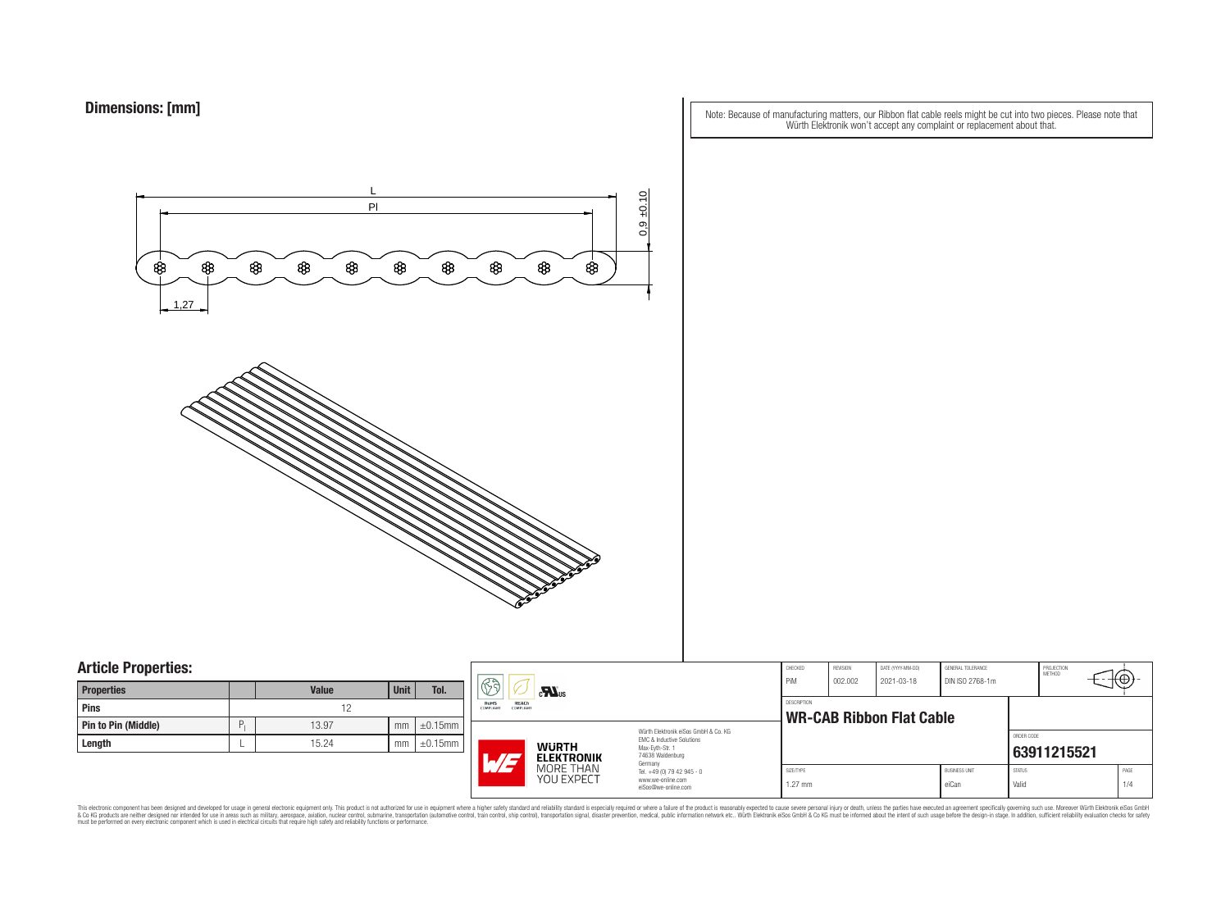Note: Because of manufacturing matters, our Ribbon flat cable reels might be cut into two pieces. Please note that Würth Elektronik won't accept any complaint or replacement about that.



### **Article Properties:**

| <b>Properties</b>   |   | <b>Value</b> | <b>Unit</b> | Tol.          |
|---------------------|---|--------------|-------------|---------------|
| <b>Pins</b>         |   | 12           |             |               |
| Pin to Pin (Middle) | P | 13.97        | mm          | $\pm 0.15$ mm |
| Length              |   | 15.24        | mm          | $\pm 0.15$ mm |

|    | $\mathbb{S}$ d<br>$\mathbf{r}$                 |                                                                                   | CHECKED<br>PiM                                                                                           | REVISION<br>002.002 | DATE (YYYY-MM-DD)<br>2021-03-18                | GENERAL TOLERANCE<br>DIN ISO 2768-1m |                        | PROJECTION<br>METHOD | ŦΨ          |  |
|----|------------------------------------------------|-----------------------------------------------------------------------------------|----------------------------------------------------------------------------------------------------------|---------------------|------------------------------------------------|--------------------------------------|------------------------|----------------------|-------------|--|
| mm | <b>RoHS</b><br>REACh<br>COMPLIANT<br>COMPLIANT |                                                                                   |                                                                                                          |                     | DESCRIPTION<br><b>WR-CAB Ribbon Flat Cable</b> |                                      |                        |                      |             |  |
| mm | HF                                             | <b>WURTH</b><br><b>ELEKTRONIK</b>                                                 | Würth Elektronik eiSos GmbH & Co. KG<br>FMC & Inductive Solutions<br>Max-Eyth-Str. 1<br>74638 Waldenburg |                     |                                                |                                      |                        | ORDER CODE           | 63911215521 |  |
|    | MORE THAN<br>YOU EXPECT                        | Germany<br>Tel. +49 (0) 79 42 945 - 0<br>www.we-online.com<br>eiSos@we-online.com | SIZE/TYPE<br>$1.27$ mm                                                                                   |                     |                                                | <b>BUSINESS UNIT</b><br>eiCan        | <b>STATUS</b><br>Valid |                      | PAGE<br>1/4 |  |

This electronic component has been designed and developed for usage in general electronic equipment only. This product is not authorized for subserved requipment where a higher selection equipment where a higher selection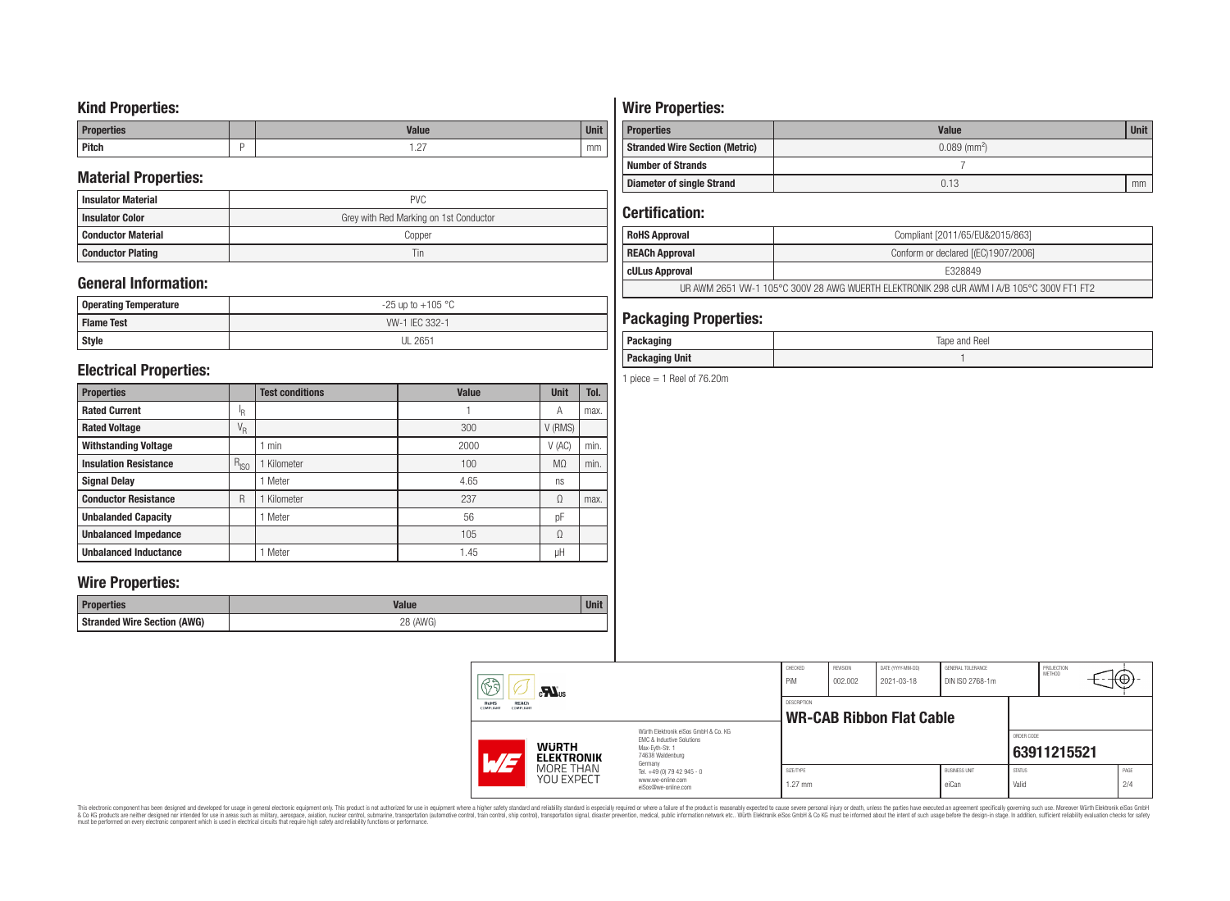## **Kind Properties:**

| <b>Properties</b> | <b>Value</b>                     | $H = 14$<br>vm |
|-------------------|----------------------------------|----------------|
| <b>Pitch</b>      | $\sim$<br>$\cdot$ $\sim$ $\cdot$ | mm             |

## **Material Properties:**

| <b>Insulator Material</b> | <b>PVC</b>                             |
|---------------------------|----------------------------------------|
| <b>Insulator Color</b>    | Grey with Red Marking on 1st Conductor |
| <b>Conductor Material</b> | Copper                                 |
| <b>Conductor Plating</b>  | Tin                                    |

## **General Information:**

| Operating Temperature | $-25$ up to $+105$ °C |
|-----------------------|-----------------------|
| <b>Flame Test</b>     | WV-1 IEC 332-1        |
| Style                 | <b>UL 2651</b>        |

## **Electrical Properties:**

| <b>Properties</b>            |                           | <b>Test conditions</b> | <b>Value</b> | <b>Unit</b>    | Tol. |
|------------------------------|---------------------------|------------------------|--------------|----------------|------|
| <b>Rated Current</b>         | ΙŖ.                       |                        |              | Α              | max. |
| <b>Rated Voltage</b>         | $\mathrm{V}_{\mathrm{R}}$ |                        | 300          | V (RMS)        |      |
| <b>Withstanding Voltage</b>  |                           | min                    | 2000         | V(AC)          | min. |
| <b>Insulation Resistance</b> | $R_{ISO}$                 | Kilometer              | 100          | M <sub>0</sub> | min. |
| <b>Signal Delay</b>          |                           | Meter                  | 4.65         | ns             |      |
| <b>Conductor Resistance</b>  | R                         | Kilometer              | 237          | Ω              | max. |
| <b>Unbalanded Capacity</b>   |                           | Meter                  | 56           | pF             |      |
| <b>Unbalanced Impedance</b>  |                           |                        | 105          | Ω              |      |
| <b>Unbalanced Inductance</b> |                           | Meter                  | 1.45         | μH             |      |

## **Wire Properties:**

| Properties                         | <b>Valut</b>   | <b>Unit</b> |
|------------------------------------|----------------|-------------|
| <b>Stranded Wire Section (AWG)</b> | 28 (AWG)<br>∠∪ |             |

# **Wire Properties:**

| <b>Properties</b>                     | <b>Value</b>               | <b>Unit</b> |
|---------------------------------------|----------------------------|-------------|
| <b>Stranded Wire Section (Metric)</b> | $0.089$ (mm <sup>2</sup> ) |             |
| <b>Number of Strands</b>              |                            |             |
| <b>Diameter of single Strand</b>      | 0.13                       | mm          |

## **Certification:**

| <b>RoHS Approval</b>                                                                      | Compliant [2011/65/EU&2015/863]     |  |  |  |
|-------------------------------------------------------------------------------------------|-------------------------------------|--|--|--|
| REACh Approval                                                                            | Conform or declared [(EC)1907/2006] |  |  |  |
| cULus Approval                                                                            | F328849                             |  |  |  |
| UR AWM 2651 VW-1 105°C 300V 28 AWG WUERTH ELEKTRONIK 298 cUR AWM I A/B 105°C 300V FT1 FT2 |                                     |  |  |  |

## **Packaging Properties:**

| Doo<br>.<br>ackayılıy                     | Tape and Reel |
|-------------------------------------------|---------------|
| <b>Packaging Unit</b><br><b>Packaging</b> |               |

1 piece  $=$  1 Reel of 76.20m

| $\mathbb{G}$                                                 | $\mathbf{M}$ us                                                                                   |                                                                                                                     | CHECKED<br>PiM         | REVISION<br>002.002 | DATE (YYYY-MM-DD)<br>2021-03-18 | GENERAL TOLERANCE<br>DIN ISO 2768-1m |                        | PROJECTION<br><b>METHOD</b> | √⊕.         |
|--------------------------------------------------------------|---------------------------------------------------------------------------------------------------|---------------------------------------------------------------------------------------------------------------------|------------------------|---------------------|---------------------------------|--------------------------------------|------------------------|-----------------------------|-------------|
| <b>RoHS</b><br>REACh<br><b>COMPLIANT</b><br><b>COMPLIANT</b> |                                                                                                   | DESCRIPTION<br><b>WR-CAB Ribbon Flat Cable</b>                                                                      |                        |                     |                                 |                                      |                        |                             |             |
| AT                                                           | <b>WURTH</b><br><b>ELEKTRONIK</b>                                                                 | Würth Elektronik eiSos GmbH & Co. KG<br>FMC & Inductive Solutions<br>Max-Evth-Str. 1<br>74638 Waldenburg<br>Germany |                        |                     |                                 |                                      | ORDER CODE             | 63911215521                 |             |
|                                                              | MORE THAN<br>Tel. +49 (0) 79 42 945 - 0<br>YOU EXPECT<br>www.we-online.com<br>eiSos@we-online.com |                                                                                                                     | SIZE/TYPE<br>$1.27$ mm |                     |                                 | <b>BUSINESS UNIT</b><br>eiCan        | <b>STATUS</b><br>Valid |                             | PAGE<br>2/4 |

This electronic component has been designed and developed for usage in general electronic equipment only. This product is not authorized for subserved requipment where a higher selection equipment where a higher selection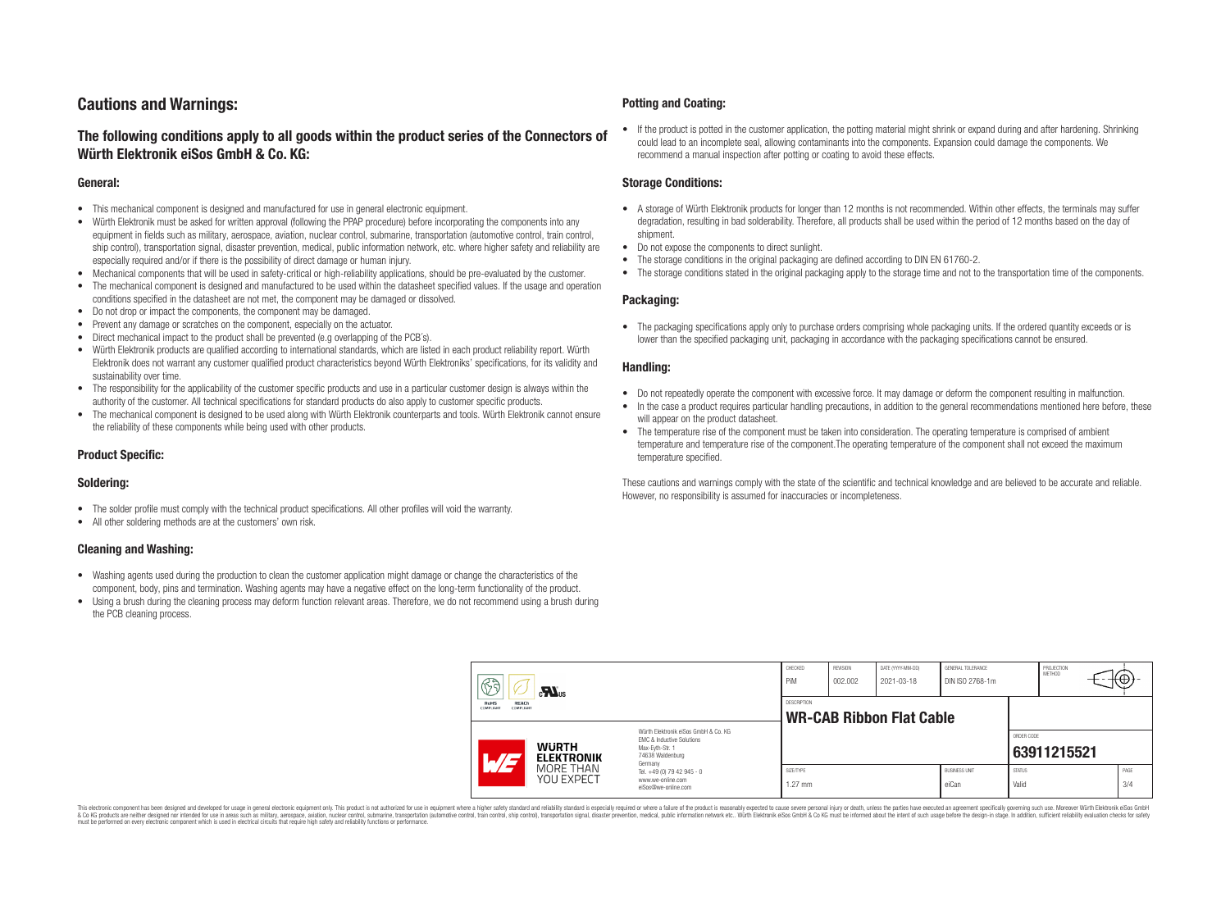## **Cautions and Warnings:**

### **The following conditions apply to all goods within the product series of the Connectors of Würth Elektronik eiSos GmbH & Co. KG:**

#### **General:**

- This mechanical component is designed and manufactured for use in general electronic equipment.
- Würth Elektronik must be asked for written approval (following the PPAP procedure) before incorporating the components into any equipment in fields such as military, aerospace, aviation, nuclear control, submarine, transportation (automotive control, train control, ship control), transportation signal, disaster prevention, medical, public information network, etc. where higher safety and reliability are especially required and/or if there is the possibility of direct damage or human injury.
- Mechanical components that will be used in safety-critical or high-reliability applications, should be pre-evaluated by the customer.
- The mechanical component is designed and manufactured to be used within the datasheet specified values. If the usage and operation conditions specified in the datasheet are not met, the component may be damaged or dissolved.
- Do not drop or impact the components, the component may be damaged.
- Prevent any damage or scratches on the component, especially on the actuator.
- Direct mechanical impact to the product shall be prevented (e.g overlapping of the PCB's).
- Würth Elektronik products are qualified according to international standards, which are listed in each product reliability report. Würth Elektronik does not warrant any customer qualified product characteristics beyond Würth Elektroniks' specifications, for its validity and sustainability over time.
- The responsibility for the applicability of the customer specific products and use in a particular customer design is always within the authority of the customer. All technical specifications for standard products do also apply to customer specific products.
- The mechanical component is designed to be used along with Würth Elektronik counterparts and tools. Würth Elektronik cannot ensure the reliability of these components while being used with other products.

#### **Product Specific:**

#### **Soldering:**

- The solder profile must comply with the technical product specifications. All other profiles will void the warranty.
- All other soldering methods are at the customers' own risk.

#### **Cleaning and Washing:**

- Washing agents used during the production to clean the customer application might damage or change the characteristics of the component, body, pins and termination. Washing agents may have a negative effect on the long-term functionality of the product.
- Using a brush during the cleaning process may deform function relevant areas. Therefore, we do not recommend using a brush during the PCB cleaning process.

#### **Potting and Coating:**

• If the product is potted in the customer application, the potting material might shrink or expand during and after hardening. Shrinking could lead to an incomplete seal, allowing contaminants into the components. Expansion could damage the components. We recommend a manual inspection after potting or coating to avoid these effects.

#### **Storage Conditions:**

- A storage of Würth Elektronik products for longer than 12 months is not recommended. Within other effects, the terminals may suffer degradation, resulting in bad solderability. Therefore, all products shall be used within the period of 12 months based on the day of shipment.
- Do not expose the components to direct sunlight.
- The storage conditions in the original packaging are defined according to DIN EN 61760-2.
- The storage conditions stated in the original packaging apply to the storage time and not to the transportation time of the components.

#### **Packaging:**

• The packaging specifications apply only to purchase orders comprising whole packaging units. If the ordered quantity exceeds or is lower than the specified packaging unit, packaging in accordance with the packaging specifications cannot be ensured.

#### **Handling:**

- Do not repeatedly operate the component with excessive force. It may damage or deform the component resulting in malfunction.
- In the case a product requires particular handling precautions, in addition to the general recommendations mentioned here before, these will appear on the product datasheet
- The temperature rise of the component must be taken into consideration. The operating temperature is comprised of ambient temperature and temperature rise of the component.The operating temperature of the component shall not exceed the maximum temperature specified.

These cautions and warnings comply with the state of the scientific and technical knowledge and are believed to be accurate and reliable. However, no responsibility is assumed for inaccuracies or incompleteness.

|  | 63<br>$\mathbf{M}_{\text{us}}$<br>RoHS<br>REACh<br><b>COMPLIANT</b><br>COMPLIANT |                         | CHECKED<br>PiM                                                                                                      | <b>REVISION</b><br>002.002 | DATE (YYYY-MM-DD)<br>2021-03-18 | GENERAL TOLERANCE<br>DIN ISO 2768-1m |                               | PROJECTION<br>METHOD   | ⊬⊕∶         |             |
|--|----------------------------------------------------------------------------------|-------------------------|---------------------------------------------------------------------------------------------------------------------|----------------------------|---------------------------------|--------------------------------------|-------------------------------|------------------------|-------------|-------------|
|  |                                                                                  |                         | DESCRIPTION<br><b>WR-CAB Ribbon Flat Cable</b>                                                                      |                            |                                 |                                      |                               |                        |             |             |
|  | <b>WURTH</b><br><b>ELEKTRONIK</b><br>$\overline{\phantom{0}}$                    |                         | Würth Elektronik eiSos GmbH & Co. KG<br>EMC & Inductive Solutions<br>Max-Evth-Str. 1<br>74638 Waldenburg<br>Germany |                            |                                 |                                      |                               | ORDER CODE             | 63911215521 |             |
|  |                                                                                  | MORE THAN<br>YOU EXPECT | Tel. +49 (0) 79 42 945 - 0<br>www.we-online.com<br>eiSos@we-online.com                                              | SIZE/TYPE<br>$1.27$ mm     |                                 |                                      | <b>BUSINESS UNIT</b><br>eiCan | <b>STATUS</b><br>Valid |             | PAGE<br>3/4 |

This electronic component has been designed and developed for usage in general electronic equipment only. This product is not authorized for use in equipment where a higher safety standard and reliability standard si espec & Ook product a label and the membed of the seasuch as marked and as which such a membed and the such assume that income in the seasuch and the simulation and the such assume that include to the such a membed and the such